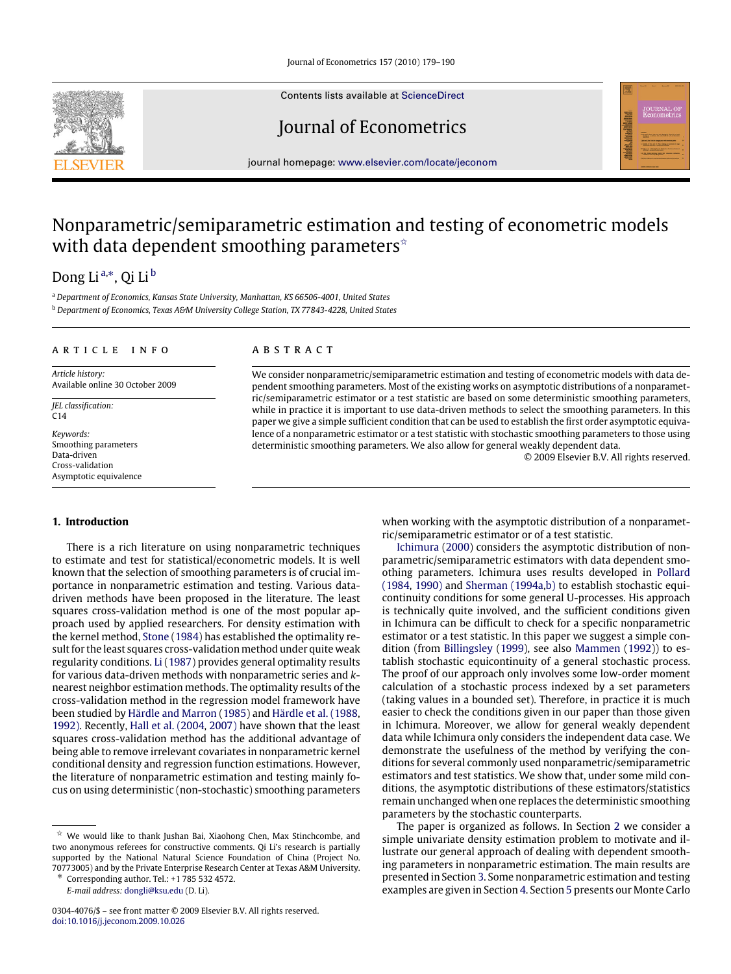Contents lists available at [ScienceDirect](http://www.elsevier.com/locate/jeconom)

## Journal of Econometrics

journal homepage: [www.elsevier.com/locate/jeconom](http://www.elsevier.com/locate/jeconom)

# Nonparametric/semiparametric estimation and testing of econometric models with data dependent smoothing parameters<sup> $\dot{\mathbf{r}}$ </sup>

## Dong Li <sup>[a,](#page-0-1)[∗](#page-0-2)</sup>, Qi Li <sup>[b](#page-0-3)</sup>

<span id="page-0-3"></span><span id="page-0-1"></span><sup>a</sup> *Department of Economics, Kansas State University, Manhattan, KS 66506-4001, United States* <sup>b</sup> *Department of Economics, Texas A&M University College Station, TX 77843-4228, United States*

#### ARTICLE INFO

*Article history:* Available online 30 October 2009

*JEL classification:* C14

*Keywords:* Smoothing parameters Data-driven Cross-validation Asymptotic equivalence

### A B S T R A C T

We consider nonparametric/semiparametric estimation and testing of econometric models with data dependent smoothing parameters. Most of the existing works on asymptotic distributions of a nonparametric/semiparametric estimator or a test statistic are based on some deterministic smoothing parameters, while in practice it is important to use data-driven methods to select the smoothing parameters. In this paper we give a simple sufficient condition that can be used to establish the first order asymptotic equivalence of a nonparametric estimator or a test statistic with stochastic smoothing parameters to those using deterministic smoothing parameters. We also allow for general weakly dependent data.

© 2009 Elsevier B.V. All rights reserved.

#### **1. Introduction**

There is a rich literature on using nonparametric techniques to estimate and test for statistical/econometric models. It is well known that the selection of smoothing parameters is of crucial importance in nonparametric estimation and testing. Various datadriven methods have been proposed in the literature. The least squares cross-validation method is one of the most popular approach used by applied researchers. For density estimation with the kernel method, [Stone](#page--1-0) [\(1984\)](#page--1-0) has established the optimality result for the least squares cross-validation method under quite weak regularity conditions. [Li](#page--1-1) [\(1987\)](#page--1-1) provides general optimality results for various data-driven methods with nonparametric series and *k*nearest neighbor estimation methods. The optimality results of the cross-validation method in the regression model framework have been studied by [Härdle](#page--1-2) [and](#page--1-2) [Marron](#page--1-2) [\(1985\)](#page--1-2) and [Härdle](#page--1-3) [et al.](#page--1-3) [\(1988,](#page--1-3) [1992\).](#page--1-4) Recently, [Hall](#page--1-5) [et al.](#page--1-5) [\(2004,](#page--1-5) [2007\)](#page--1-6) have shown that the least squares cross-validation method has the additional advantage of being able to remove irrelevant covariates in nonparametric kernel conditional density and regression function estimations. However, the literature of nonparametric estimation and testing mainly focus on using deterministic (non-stochastic) smoothing parameters

<span id="page-0-2"></span>∗ Corresponding author. Tel.: +1 785 532 4572. *E-mail address:* [dongli@ksu.edu](mailto:dongli@ksu.edu) (D. Li).

when working with the asymptotic distribution of a nonparametric/semiparametric estimator or of a test statistic.

[Ichimura](#page--1-7) [\(2000\)](#page--1-7) considers the asymptotic distribution of nonparametric/semiparametric estimators with data dependent smoothing parameters. Ichimura uses results developed in [Pollard](#page--1-8) [\(1984,](#page--1-8) [1990\)](#page--1-9) and [Sherman](#page--1-10) [\(1994a,](#page--1-10)[b\)](#page--1-11) to establish stochastic equicontinuity conditions for some general U-processes. His approach is technically quite involved, and the sufficient conditions given in Ichimura can be difficult to check for a specific nonparametric estimator or a test statistic. In this paper we suggest a simple condition (from [Billingsley](#page--1-12) [\(1999\)](#page--1-12), see also [Mammen](#page--1-13) [\(1992\)](#page--1-13)) to establish stochastic equicontinuity of a general stochastic process. The proof of our approach only involves some low-order moment calculation of a stochastic process indexed by a set parameters (taking values in a bounded set). Therefore, in practice it is much easier to check the conditions given in our paper than those given in Ichimura. Moreover, we allow for general weakly dependent data while Ichimura only considers the independent data case. We demonstrate the usefulness of the method by verifying the conditions for several commonly used nonparametric/semiparametric estimators and test statistics. We show that, under some mild conditions, the asymptotic distributions of these estimators/statistics remain unchanged when one replaces the deterministic smoothing parameters by the stochastic counterparts.

The paper is organized as follows. In Section [2](#page-1-0) we consider a simple univariate density estimation problem to motivate and illustrate our general approach of dealing with dependent smoothing parameters in nonparametric estimation. The main results are presented in Section [3.](#page--1-14) Some nonparametric estimation and testing examples are given in Section [4.](#page--1-15) Section [5](#page--1-16) presents our Monte Carlo





<span id="page-0-0"></span><sup>✩</sup> We would like to thank Jushan Bai, Xiaohong Chen, Max Stinchcombe, and two anonymous referees for constructive comments. Qi Li's research is partially supported by the National Natural Science Foundation of China (Project No. 70773005) and by the Private Enterprise Research Center at Texas A&M University.

<sup>0304-4076/\$ –</sup> see front matter © 2009 Elsevier B.V. All rights reserved. [doi:10.1016/j.jeconom.2009.10.026](http://dx.doi.org/10.1016/j.jeconom.2009.10.026)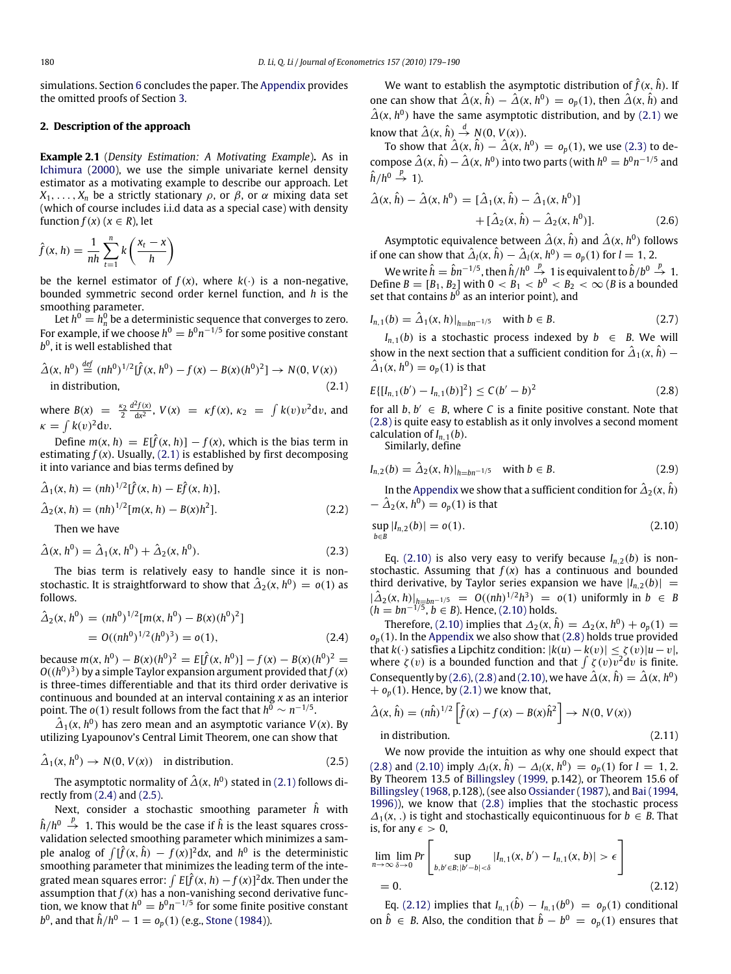simulations. Section [6](#page--1-17) concludes the paper. The [Appendix](#page--1-18) provides the omitted proofs of Section [3.](#page--1-14)

### <span id="page-1-0"></span>**2. Description of the approach**

**Example 2.1** (*Density Estimation: A Motivating Example*)**.** As in [Ichimura](#page--1-7) [\(2000\)](#page--1-7), we use the simple univariate kernel density estimator as a motivating example to describe our approach. Let  $X_1, \ldots, X_n$  be a strictly stationary  $\rho$ , or  $\beta$ , or  $\alpha$  mixing data set (which of course includes i.i.d data as a special case) with density function  $f(x)$  ( $x \in R$ ), let

$$
\hat{f}(x,h) = \frac{1}{nh} \sum_{t=1}^{n} k\left(\frac{x_t - x}{h}\right)
$$

be the kernel estimator of  $f(x)$ , where  $k(\cdot)$  is a non-negative, bounded symmetric second order kernel function, and *h* is the smoothing parameter.

Let  $h^0 = h_n^0$  be a deterministic sequence that converges to zero. For example, if we choose  $h^0 = b^0 n^{-1/5}$  for some positive constant  $b^0$ , it is well established that

$$
\hat{\Delta}(x, h^0) \stackrel{\text{def}}{=} (nh^0)^{1/2} [\hat{f}(x, h^0) - f(x) - B(x)(h^0)^2] \to N(0, V(x))
$$
  
in distribution, (2.1)

where  $B(x) = \frac{k_2}{2} \frac{d^2 f(x)}{dx^2}$ ,  $V(x) = k f(x)$ ,  $\kappa_2 = \int k(v) v^2 dv$ , and  $\kappa = \int k(v)^2 dv.$ 

Define  $m(x, h) = E[\hat{f}(x, h)] - f(x)$ , which is the bias term in estimating  $f(x)$ . Usually, [\(2.1\)](#page-1-1) is established by first decomposing it into variance and bias terms defined by

$$
\hat{\Delta}_1(x, h) = (nh)^{1/2} [\hat{f}(x, h) - E\hat{f}(x, h)], \n\hat{\Delta}_2(x, h) = (nh)^{1/2} [m(x, h) - B(x)h^2].
$$
\n(2.2)

Then we have

$$
\hat{\Delta}(x, h^0) = \hat{\Delta}_1(x, h^0) + \hat{\Delta}_2(x, h^0).
$$
 (2.3)

The bias term is relatively easy to handle since it is nonstochastic. It is straightforward to show that  $\hat{\varDelta}_2(\textit{x},\textit{h}^0) \,=\, o(1)$  as follows.

$$
\hat{\Delta}_2(x, h^0) = (nh^0)^{1/2} [m(x, h^0) - B(x)(h^0)^2]
$$
  
= O((nh^0)^{1/2} (h^0)^3) = o(1), (2.4)

because  $m(x, h^0) - B(x)(h^0)^2 = E[\hat{f}(x, h^0)] - f(x) - B(x)(h^0)^2 =$  $O((h^0)^3)$  by a simple Taylor expansion argument provided that $f(x)$ is three-times differentiable and that its third order derivative is continuous and bounded at an interval containing *x* as an interior point. The  $o(1)$  result follows from the fact that  $h^{\vec{0}} \sim n^{-1/5}.$ 

 $\hat{\Delta}_1(x, h^0)$  has zero mean and an asymptotic variance  $V(x)$ . By utilizing Lyapounov's Central Limit Theorem, one can show that

$$
\hat{\Delta}_1(x, h^0) \to N(0, V(x)) \quad \text{in distribution.} \tag{2.5}
$$

The asymptotic normality of  $\hat{\varDelta}(\mathsf{x},\mathsf{h}^0)$  stated in [\(2.1\)](#page-1-1) follows directly from [\(2.4\)](#page-1-2) and [\(2.5\).](#page-1-3)

Next, consider a stochastic smoothing parameter *<sup>h</sup>*ˆ with  $\hat{h}/h^0\,\stackrel{p}{\to}\,$  1. This would be the case if  $\hat{h}$  is the least squares crossvalidation selected smoothing parameter which minimizes a sample analog of  $\int [\hat{f}(x, \hat{h}) - f(x)]^2 dx$ , and  $h^0$  is the deterministic smoothing parameter that minimizes the leading term of the integrated mean squares error:  $\int E[\hat{f}(x, h) - f(x)]^2 dx$ . Then under the assumption that  $f(x)$  has a non-vanishing second derivative function, we know that  $h^0 = b^0 n^{-1/5}$  for some finite positive constant  $b^0$ , and that  $\hat{h}/h^0 - 1 = o_p(1)$  (e.g., [Stone](#page--1-0) [\(1984\)](#page--1-0)).

We want to establish the asymptotic distribution of  $\hat{f}(x, \hat{h})$ . If one can show that  $\hat{\Delta}(x, \hat{h}) - \hat{\Delta}(x, h^0) = o_p(1)$ , then  $\hat{\Delta}(x, \hat{h})$  and  $\hat{\Delta}(x, h^0)$  have the same asymptotic distribution, and by [\(2.1\)](#page-1-1) we know that  $\hat{\Delta}(x, \hat{h}) \stackrel{d}{\rightarrow} N(0, V(x)).$ 

To show that  $\hat{\Delta}(x, \hat{h}) - \hat{\Delta}(x, h^0) = o_p(1)$ , we use [\(2.3\)](#page-1-4) to decompose  $\hat{\Delta}(x, \hat{h}) - \hat{\Delta}(x, h^0)$  into two parts (with  $h^0 = b^0 n^{-1/5}$  and  $\hat{h}/h^0 \stackrel{p}{\rightarrow} 1$ ).

<span id="page-1-7"></span>
$$
\hat{\Delta}(x,\hat{h}) - \hat{\Delta}(x,h^0) = [\hat{\Delta}_1(x,\hat{h}) - \hat{\Delta}_1(x,h^0)] + [\hat{\Delta}_2(x,\hat{h}) - \hat{\Delta}_2(x,h^0)].
$$
\n(2.6)

Asymptotic equivalence between  $\hat{\varDelta}(\mathsf{x}, \hat{h})$  and  $\hat{\varDelta}(\mathsf{x}, h^0)$  follows if one can show that  $\hat{\Delta}_l(x, \hat{h}) - \hat{\Delta}_l(x, h^0) = o_p(1)$  for  $l = 1, 2$ .

We write  $\hat{h} = \hat{b}n^{-1/5}$ , then  $\hat{h}/h^0 \stackrel{p}{\rightarrow} 1$  is equivalent to  $\hat{b}/b^0 \stackrel{p}{\rightarrow} 1$ . Define  $B = [B_1, B_2]$  with  $0 < B_1 < b^0 < B_2 < \infty$  (*B* is a bounded set that contains  $b^0$  as an interior point), and

$$
I_{n,1}(b) = \hat{\Delta}_1(x, h)|_{h = bn^{-1/5}} \quad \text{with } b \in B. \tag{2.7}
$$

*I*<sup>*n*</sup>,1(*b*) is a stochastic process indexed by *b* ∈ *B*. We will show in the next section that a sufficient condition for  $\hat{\Delta}_1(x, \hat{h})$  –  $\hat{\Delta}_1(x, h^0) = o_p(1)$  is that

<span id="page-1-1"></span>
$$
E\{[I_{n,1}(b') - I_{n,1}(b)]^2\} \le C(b'-b)^2
$$
\n(2.8)

for all  $b, b' \in B$ , where *C* is a finite positive constant. Note that [\(2.8\)](#page-1-5) is quite easy to establish as it only involves a second moment calculation of  $I_{n,1}(b)$ .

<span id="page-1-5"></span>Similarly, define

$$
I_{n,2}(b) = \hat{\Delta}_2(x, h)|_{h = bn^{-1/5}} \quad \text{with } b \in B.
$$
 (2.9)

In the [Appendix](#page--1-18) we show that a sufficient condition for  $\hat{\varDelta}_2(\mathsf{x}, \hat{h})$  $-\hat{\Delta}_2(x, h^0) = o_p(1)$  is that

<span id="page-1-6"></span>
$$
\sup_{b \in B} |I_{n,2}(b)| = o(1). \tag{2.10}
$$

<span id="page-1-4"></span>Eq. [\(2.10\)](#page-1-6) is also very easy to verify because  $I_{n,2}(b)$  is nonstochastic. Assuming that  $f(x)$  has a continuous and bounded third derivative, by Taylor series expansion we have  $|I_{n,2}(b)| =$  $|\hat{\Delta}_2(x, h)|_{h\equiv bn^{-1/5}}$  =  $O((nh)^{1/2}h^3)$  =  $o(1)$  uniformly in *b* ∈ *B*  $(h = bn^{-1/5}, b ∈ B)$ . Hence,  $(2.10)$  holds.

<span id="page-1-2"></span>Therefore, [\(2.10\)](#page-1-6) implies that  $\Delta_2(x, \hat{h}) = \Delta_2(x, h^0) + o_p(1) =$  $o_p(1)$ . In the [Appendix](#page--1-18) we also show that [\(2.8\)](#page-1-5) holds true provided that *k*(·) satisfies a Lipchitz condition: |*k*(*u*)−*k*(v)| ≤ ζ (v)|*u*−v|, where  $\zeta(v)$  is a bounded function and that  $\int \zeta(v)v^2 dv$  is finite. Consequently by [\(2.6\),](#page-1-7) [\(2.8\)](#page-1-5) and [\(2.10\),](#page-1-6) we have  $\hat{\Delta}(x, \hat{h}) = \hat{\Delta}(x, h^0)$  $+ o_p(1)$ . Hence, by [\(2.1\)](#page-1-1) we know that,

$$
\hat{\Delta}(x,\hat{h}) = (n\hat{h})^{1/2} \left[ \hat{f}(x) - f(x) - B(x)\hat{h}^2 \right] \to N(0, V(x))
$$
  
in distribution. (2.11)

<span id="page-1-3"></span>We now provide the intuition as why one should expect that [\(2.8\)](#page-1-5) and [\(2.10\)](#page-1-6) imply  $\Delta_l(x, \hat{h}) - \Delta_l(x, h^0) = o_p(1)$  for  $l = 1, 2$ . By Theorem 13.5 of [Billingsley](#page--1-12) [\(1999,](#page--1-12) p.142), or Theorem 15.6 of [Billingsley](#page--1-19) [\(1968,](#page--1-19) p.128), (see also [Ossiander](#page--1-20) [\(1987\)](#page--1-20), and [Bai](#page--1-21) [\(1994,](#page--1-21) [1996\)\)](#page--1-22), we know that [\(2.8\)](#page-1-5) implies that the stochastic process  $\Delta_1(x,.)$  is tight and stochastically equicontinuous for  $b \in B$ . That is, for any  $\epsilon > 0$ ,

<span id="page-1-8"></span>
$$
\lim_{n \to \infty} \lim_{\delta \to 0} Pr \left[ \sup_{b, b' \in B; |b' - b| < \delta} |I_{n, 1}(x, b') - I_{n, 1}(x, b)| > \epsilon \right]
$$
  
= 0. (2.12)

Eq. [\(2.12\)](#page-1-8) implies that  $I_{n,1}(\hat{b}) - I_{n,1}(b^0) = o_p(1)$  conditional on  $\hat{b}$  ∈ *B*. Also, the condition that  $\hat{b} - b^0 = o_p(1)$  ensures that